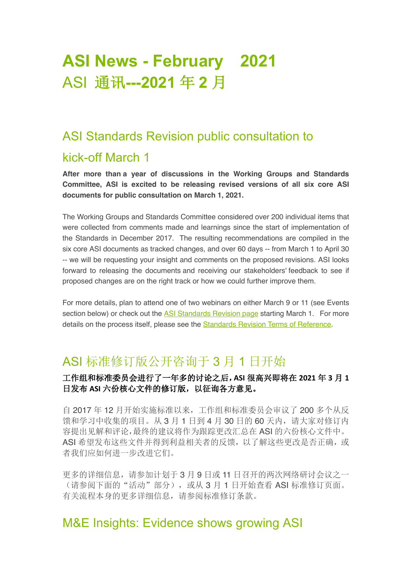# **ASI News - February 2021** ASI 通讯**---2021** 年 **2** 月

## ASI Standards Revision public consultation to

## kick-off March 1

**After more than a year of discussions in the Working Groups and Standards Committee, ASI is excited to be releasing revised versions of all six core ASI documents for public consultation on March 1, 2021.** 

The Working Groups and Standards Committee considered over 200 individual items that were collected from comments made and learnings since the start of implementation of the Standards in December 2017. The resulting recommendations are compiled in the six core ASI documents as tracked changes, and over 60 days -- from March 1 to April 30 -- we will be requesting your insight and comments on the proposed revisions. ASI looks forward to releasing the documents and receiving our stakeholders' feedback to see if proposed changes are on the right track or how we could further improve them.

For more details, plan to attend one of two webinars on either March 9 or 11 (see Events section below) or check out the ASI Standards Revision page starting March 1. For more details on the process itself, please see the Standards Revision Terms of Reference.

## ASI 标准修订版公开咨询于 3 月 1 日开始

## 工作组和标准委员会进行了一年多的讨论之后,**ASI** 很高兴即将在 **2021** 年 **3** 月 **1** 日发布 **ASI** 六份核心文件的修订版,以征询各方意见。

自 2017 年 12 月开始实施标准以来,工作组和标准委员会审议了 200 多个从反 馈和学习中收集的项目。从 3 月 1 日到 4 月 30 日的 60 天内,请大家对修订内 容提出见解和评论,最终的建议将作为跟踪更改汇总在 ASI 的六份核心文件中。 ASI 希望发布这些文件并得到利益相关者的反馈,以了解这些更改是否正确,或 者我们应如何进一步改进它们。

更多的详细信息,请参加计划于 3 月 9 日或 11 日召开的两次网络研讨会议之一 (请参阅下面的"活动"部分), 或从 3 月 1 日开始查看 ASI 标准修订页面。 有关流程本身的更多详细信息,请参阅标准修订条款。

## M&E Insights: Evidence shows growing ASI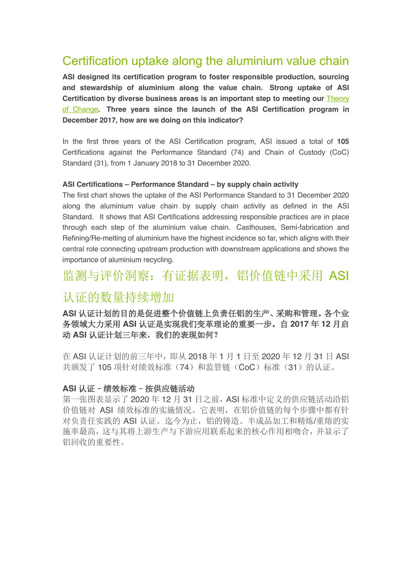## Certification uptake along the aluminium value chain

**ASI designed its certification program to foster responsible production, sourcing and stewardship of aluminium along the value chain. Strong uptake of ASI**  Certification by diverse business areas is an important step to meeting our **Theory** of Change**. Three years since the launch of the ASI Certification program in December 2017, how are we doing on this indicator?**

In the first three years of the ASI Certification program, ASI issued a total of **105** Certifications against the Performance Standard (74) and Chain of Custody (CoC) Standard (31), from 1 January 2018 to 31 December 2020.

#### **ASI Certifications – Performance Standard – by supply chain activity**

The first chart shows the uptake of the ASI Performance Standard to 31 December 2020 along the aluminium value chain by supply chain activity as defined in the ASI Standard. It shows that ASI Certifications addressing responsible practices are in place through each step of the aluminium value chain. Casthouses, Semi-fabrication and Refining/Re-melting of aluminium have the highest incidence so far, which aligns with their central role connecting upstream production with downstream applications and shows the importance of aluminium recycling.

## 监测与评价洞察: 有证据表明, 铝价值链中采用 ASI

## 认证的数量持续增加

**ASI** 认证计划的目的是促进整个价值链上负责任铝的生产、采购和管理。各个业 务领域大力采用 **ASI** 认证是实现我们变革理论的重要一步。自 **2017** 年 **12** 月启 动 **ASI** 认证计划三年来,我们的表现如何?

在 ASI 认证计划的前三年中,即从 2018 年 1 月 1 日至 2020 年 12 月 31 日 ASI 共颁发了105 项针对绩效标准(74)和监管链(CoC)标准(31)的认证。

#### **ASI** 认证–绩效标准–按供应链活动

第一张图表显示了 2020 年 12 月 31 日之前, ASI 标准中定义的供应链活动沿铝 价值链对 ASI 绩效标准的实施情况。它表明,在铝价值链的每个步骤中都有针 对负责任实践的 ASI 认证。迄今为止,铝的铸造、半成品加工和精炼/重熔的实 施率最高,这与其将上游生产与下游应用联系起来的核心作用相吻合,并显示了 铝回收的重要性。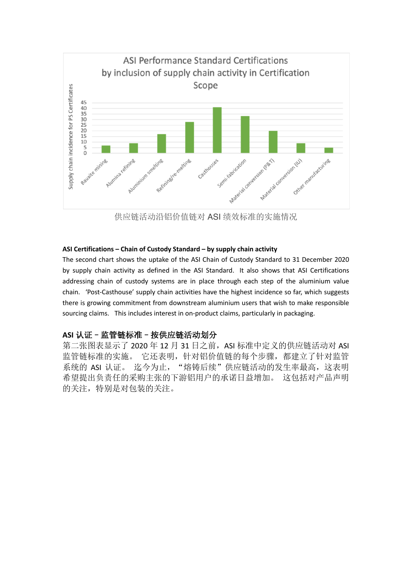

供应链活动沿铝价值链对 ASI 绩效标准的实施情况

#### **ASI Certifications – Chain of Custody Standard – by supply chain activity**

The second chart shows the uptake of the ASI Chain of Custody Standard to 31 December 2020 by supply chain activity as defined in the ASI Standard. It also shows that ASI Certifications addressing chain of custody systems are in place through each step of the aluminium value chain. 'Post-Casthouse' supply chain activities have the highest incidence so far, which suggests there is growing commitment from downstream aluminium users that wish to make responsible sourcing claims. This includes interest in on-product claims, particularly in packaging.

### **ASI** 认证–监管链标准–按供应链活动划分

第二张图表显示了 2020年12月 31日之前, ASI 标准中定义的供应链活动对 ASI 监管链标准的实施。它还表明,针对铝价值链的每个步骤,都建立了针对监管 系统的 ASI 认证。 迄今为止, "熔铸后续"供应链活动的发生率最高, 这表明 希望提出负责任的采购主张的下游铝用户的承诺日益增加。 这包括对产品声明 的关注,特别是对包装的关注。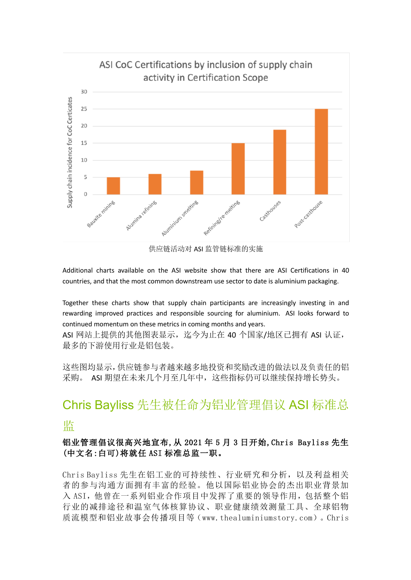

Additional charts available on the ASI website show that there are ASI Certifications in 40 countries, and that the most common downstream use sector to date is aluminium packaging.

Together these charts show that supply chain participants are increasingly investing in and rewarding improved practices and responsible sourcing for aluminium. ASI looks forward to continued momentum on these metrics in coming months and years.

ASI 网站上提供的其他图表显示, 迄今为止在 40 个国家/地区已拥有 ASI 认证, 最多的下游使用行业是铝包装。

这些图均显示,供应链参与者越来越多地投资和奖励改进的做法以及负责任的铝 采购。 ASI 期望在未来几个月至几年中,这些指标仍可以继续保持增长势头。

# Chris Bayliss 先生被任命为铝业管理倡议 ASI 标准总

## 监

## 铝业管理倡议很高兴地宣布,从 2021 年 5 月 3 日开始,Chris Bayliss 先生 (中文名:白可)将就任 ASI 标准总监一职。

Chris Bayliss 先生在铝工业的可持续性、行业研究和分析,以及利益相关 者的参与沟通方面拥有丰富的经验。他以国际铝业协会的杰出职业背景加 入 ASI,他曾在一系列铝业合作项目中发挥了重要的领导作用,包括整个铝 行业的减排途径和温室气体核算协议、职业健康绩效测量工具、全球铝物 质流模型和铝业故事会传播项目等(www.thealuminiumstory.com)。Chris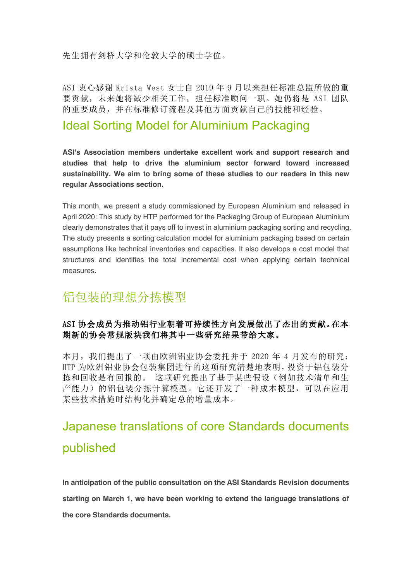先生拥有剑桥大学和伦敦大学的硕士学位。

ASI 衷心感谢 Krista West 女士自 2019 年 9 月以来担任标准总监所做的重 要贡献,未来她将减少相关工作,担任标准顾问一职。她仍将是 ASI 团队 的重要成员,并在标准修订流程及其他方面贡献自己的技能和经验。

## Ideal Sorting Model for Aluminium Packaging

**ASI's Association members undertake excellent work and support research and studies that help to drive the aluminium sector forward toward increased sustainability. We aim to bring some of these studies to our readers in this new regular Associations section.**

This month, we present a study commissioned by European Aluminium and released in April 2020: This study by HTP performed for the Packaging Group of European Aluminium clearly demonstrates that it pays off to invest in aluminium packaging sorting and recycling. The study presents a sorting calculation model for aluminium packaging based on certain assumptions like technical inventories and capacities. It also develops a cost model that structures and identifies the total incremental cost when applying certain technical measures.

## 铝包装的理想分拣模型

## ASI 协会成员为推动铝行业朝着可持续性方向发展做出了杰出的贡献。在本 期新的协会常规版块我们将其中一些研究结果带给大家。

本月,我们提出了一项由欧洲铝业协会委托并于 2020 年 4 月发布的研究: HTP 为欧洲铝业协会包装集团进行的这项研究清楚地表明,投资于铝包装分 拣和回收是有回报的。 这项研究提出了基于某些假设(例如技术清单和生 产能力)的铝包装分拣计算模型。它还开发了一种成本模型,可以在应用 某些技术措施时结构化并确定总的增量成本。

# Japanese translations of core Standards documents published

**In anticipation of the public consultation on the ASI Standards Revision documents starting on March 1, we have been working to extend the language translations of the core Standards documents.**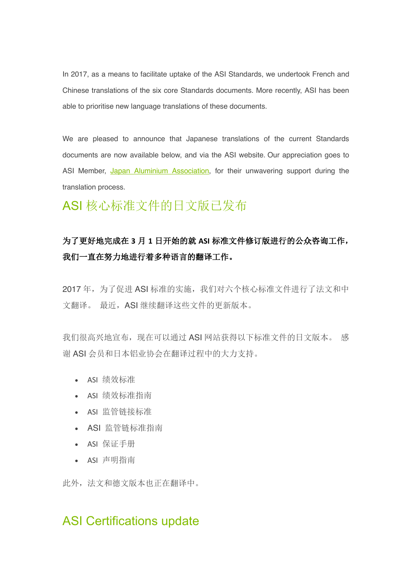In 2017, as a means to facilitate uptake of the ASI Standards, we undertook French and Chinese translations of the six core Standards documents. More recently, ASI has been able to prioritise new language translations of these documents.

We are pleased to announce that Japanese translations of the current Standards documents are now available below, and via the ASI website. Our appreciation goes to ASI Member, Japan Aluminium Association, for their unwavering support during the translation process.

# ASI 核心标准文件的日文版已发布

## 为了更好地完成在 **3** 月 **1** 日开始的就 **ASI** 标准文件修订版进行的公众咨询工作, 我们一直在努力地进行着多种语言的翻译工作。

2017年,为了促进 ASI 标准的实施,我们对六个核心标准文件进行了法文和中 文翻译。 最近,ASI 继续翻译这些文件的更新版本。

我们很高兴地宣布,现在可以通过 ASI 网站获得以下标准文件的日文版本。 感 谢 ASI 会员和日本铝业协会在翻译过程中的大力支持。

- ASI 绩效标准
- ASI 绩效标准指南
- ASI 监管链接标准
- ASI 监管链标准指南
- ASI 保证手册
- ASI 声明指南

此外,法文和德文版本也正在翻译中。

## ASI Certifications update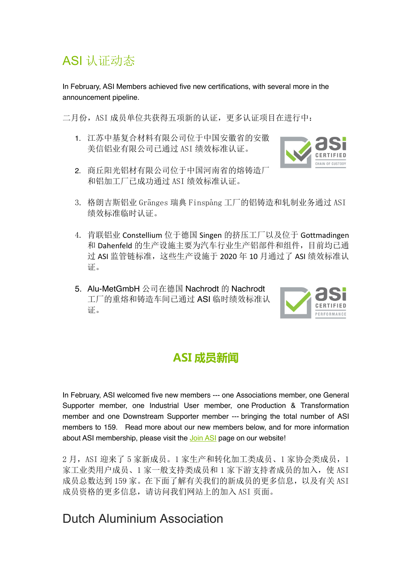# ASI 认证动态

In February, ASI Members achieved five new certifications, with several more in the announcement pipeline.

二月份, ASI 成员单位共获得五项新的认证, 更多认证项目在进行中:

1. 江苏中基复合材料有限公司位于中国安徽省的安徽 美信铝业有限公司已通过 ASI 绩效标准认证。



- 2. 商丘阳光铝材有限公司位于中国河南省的熔铸造厂 和铝加工厂已成功通过 ASI 绩效标准认证。
- 3. 格朗吉斯铝业 Gränges 瑞典 Finspång 工厂的铝铸造和轧制业务通过 ASI 绩效标准临时认证。
- 4. 肯联铝业 Constellium 位于德国 Singen 的挤压工厂以及位于 Gottmadingen 和 Dahenfeld 的生产设施主要为汽车行业生产铝部件和组件,目前均已通 过 ASI 监管链标准, 这些生产设施于 2020 年 10 月通过了 ASI 绩效标准认 证。
- 5. Alu-MetGmbH 公司在德国 Nachrodt 的 Nachrodt 工厂的重熔和铸造车间已通过 ASI 临时绩效标准认 证。



## **ASI 成员新闻**

In February, ASI welcomed five new members --- one Associations member, one General Supporter member, one Industrial User member, one Production & Transformation member and one Downstream Supporter member --- bringing the total number of ASI members to 159. Read more about our new members below, and for more information about ASI membership, please visit the Join ASI page on our website!

2 月, ASI 迎来了 5 家新成员。1 家生产和转化加工类成员、1 家协会类成员, 1 家工业类用户成员、1 家一般支持类成员和 1 家下游支持者成员的加入, 使 ASI 成员总数达到 159 家。在下面了解有关我们的新成员的更多信息, 以及有关 ASI 成员资格的更多信息,请访问我们网站上的加入 ASI 页面。

## Dutch Aluminium Association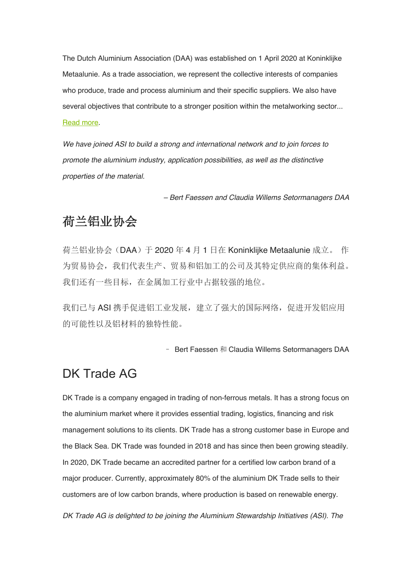The Dutch Aluminium Association (DAA) was established on 1 April 2020 at Koninklijke Metaalunie. As a trade association, we represent the collective interests of companies who produce, trade and process aluminium and their specific suppliers. We also have several objectives that contribute to a stronger position within the metalworking sector... Read more.

*We have joined ASI to build a strong and international network and to join forces to promote the aluminium industry, application possibilities, as well as the distinctive properties of the material.* 

*– Bert Faessen and Claudia Willems Setormanagers DAA*

## 荷兰铝业协会

荷兰铝业协会(DAA)于 2020 年 4 月 1 日在 Koninklijke Metaalunie 成立。 作 为贸易协会,我们代表生产、贸易和铝加工的公司及其特定供应商的集体利益。 我们还有一些目标,在金属加工行业中占据较强的地位。

我们已与 ASI 携手促进铝工业发展,建立了强大的国际网络,促进开发铝应用 的可能性以及铝材料的独特性能。

– Bert Faessen 和 Claudia Willems Setormanagers DAA

## DK Trade AG

DK Trade is a company engaged in trading of non-ferrous metals. It has a strong focus on the aluminium market where it provides essential trading, logistics, financing and risk management solutions to its clients. DK Trade has a strong customer base in Europe and the Black Sea. DK Trade was founded in 2018 and has since then been growing steadily. In 2020, DK Trade became an accredited partner for a certified low carbon brand of a major producer. Currently, approximately 80% of the aluminium DK Trade sells to their customers are of low carbon brands, where production is based on renewable energy.

*DK Trade AG is delighted to be joining the Aluminium Stewardship Initiatives (ASI). The*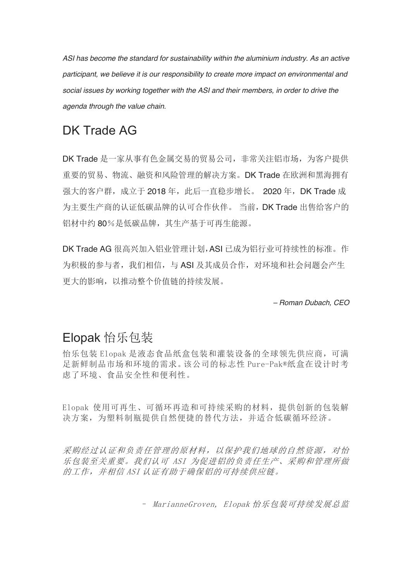*ASI has become the standard for sustainability within the aluminium industry. As an active participant, we believe it is our responsibility to create more impact on environmental and social issues by working together with the ASI and their members, in order to drive the agenda through the value chain.*

## DK Trade AG

DK Trade 是一家从事有色金属交易的贸易公司, 非常关注铝市场, 为客户提供 重要的贸易、物流、融资和风险管理的解决方案。DK Trade 在欧洲和黑海拥有 强大的客户群,成立于 2018 年, 此后一直稳步增长。 2020 年, DK Trade 成 为主要生产商的认证低碳品牌的认可合作伙伴。 当前, DK Trade 出售给客户的 铝材中约 80%是低碳品牌,其生产基于可再生能源。

DK Trade AG 很高兴加入铝业管理计划,ASI 已成为铝行业可持续性的标准。作 为积极的参与者, 我们相信, 与 ASI 及其成员合作, 对环境和社会问题会产生 更大的影响,以推动整个价值链的持续发展。

*– Roman Dubach, CEO*

## Elopak 怡乐包装

怡乐包装 Elopak 是液态食品纸盒包装和灌装设备的全球领先供应商,可满 足新鲜制品市场和环境的需求。该公司的标志性 Pure-Pak®纸盒在设计时考 虑了环境、食品安全性和便利性。

Elopak 使用可再生、可循环再造和可持续采购的材料,提供创新的包装解 决方案,为塑料制瓶提供自然便捷的替代方法,并适合低碳循环经济。

采购经过认证和负责任管理的原材料,以保护我们地球的自然资源,对怡 乐包装至关重要。我们认可 ASI 为促进铝的负责任生产、采购和管理所做 的工作,并相信 ASI 认证有助于确保铝的可持续供应链。

– MarianneGroven, Elopak 怡乐包装可持续发展总监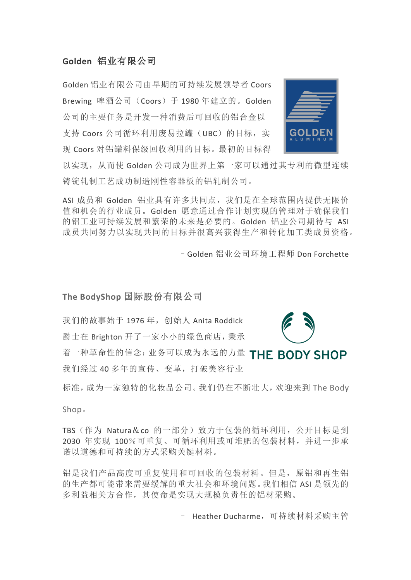### **Golden** 铝业有限公司

Golden 铝业有限公司由早期的可持续发展领导者 Coors Brewing 啤酒公司(Coors)于 1980 年建立的。Golden 公司的主要任务是开发一种消费后可回收的铝合金以 支持 Coors 公司循环利用废易拉罐(UBC)的目标, 实 现 Coors 对铝罐料保级回收利用的目标。最初的目标得



以实现,从而使 Golden 公司成为世界上第一家可以通过其专利的微型连续 铸锭轧制工艺成功制造刚性容器板的铝轧制公司。

ASI 成员和 Golden 铝业具有许多共同点,我们是在全球范围内提供无限价 值和机会的行业成员。Golden 愿意通过合作计划实现的管理对于确保我们 的铝工业可持续发展和繁荣的未来是必要的。Golden 铝业公司期待与 ASI 成员共同努力以实现共同的目标并很高兴获得生产和转化加工类成员资格。

–Golden 铝业公司环境工程师 Don Forchette

#### **The BodyShop** 国际股份有限公司

我们的故事始于 1976年, 创始人 Anita Roddick

爵士在 Brighton 开了一家小小的绿色商店,秉承

着一种革命性的信念:业务可以成为永远的力量 THE BODY SHOP 我们经过 40 多年的宣传、变革,打破美容行业

标准,成为一家独特的化妆品公司。我们仍在不断壮大,欢迎来到 The Body

Shop。

TBS(作为 Natura&co 的一部分)致力于包装的循环利用,公开目标是到 2030 年实现 100%可重复、可循环利用或可堆肥的包装材料,并进一步承 诺以道德和可持续的方式采购关键材料。

铝是我们产品高度可重复使用和可回收的包装材料。但是,原铝和再生铝 的生产都可能带来需要缓解的重大社会和环境问题。我们相信 ASI 是领先的 多利益相关方合作,其使命是实现大规模负责任的铝材采购。

– Heather Ducharme,可持续材料采购主管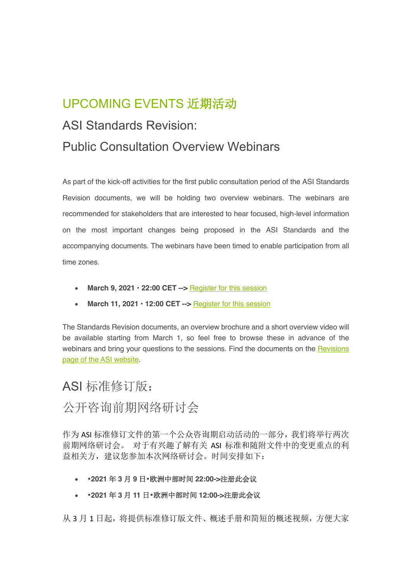# UPCOMING EVENTS 近期活动

## ASI Standards Revision:

## Public Consultation Overview Webinars

As part of the kick-off activities for the first public consultation period of the ASI Standards Revision documents, we will be holding two overview webinars. The webinars are recommended for stakeholders that are interested to hear focused, high-level information on the most important changes being proposed in the ASI Standards and the accompanying documents. The webinars have been timed to enable participation from all time zones.

- March 9, 2021 · 22:00 CET --> Register for this session
- March 11, 2021 · 12:00 CET --> **Register for this session**

The Standards Revision documents, an overview brochure and a short overview video will be available starting from March 1, so feel free to browse these in advance of the webinars and bring your questions to the sessions. Find the documents on the Revisions page of the ASI website.

## ASI 标准修订版:

## 公开咨询前期网络研讨会

作为 ASI 标准修订文件的第一个公众咨询期启动活动的一部分,我们将举行两次 前期网络研讨会。 对于有兴趣了解有关 ASI 标准和随附文件中的变更重点的利 益相关方,建议您参加本次网络研讨会。时间安排如下:

- •**2021** 年 **3** 月 **9** 日•欧洲中部时间 **22:00->**注册此会议
- •**2021** 年 **3** 月 **11** 日•欧洲中部时间 **12:00->**注册此会议

从 3 月 1 日起, 将提供标准修订版文件、概述手册和简短的概述视频, 方便大家